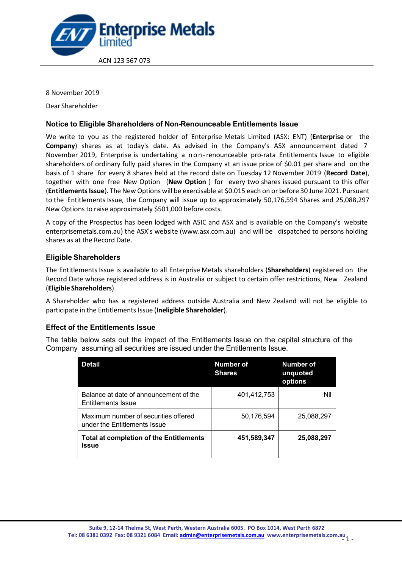

8 November 2019

Dear Shareholder

# **Notice to Eligible Shareholders of Non-Renounceable Entitlements Issue**

We write to you as the registered holder of Enterprise Metals Limited (ASX: ENT) (**Enterprise** or the **Company**) shares as at today's date. As advised in the Company's ASX announcement dated 7 November 2019, Enterprise is undertaking a non-renounceable pro-rata Entitlements Issue to eligible shareholders of ordinary fully paid shares in the Company at an issue price of \$0.01 per share and on the basis of 1 share for every 8 shares held at the record date on Tuesday 12 November 2019 (**Record Date**), together with one free New Option (**New Option** ) for every two shares issued pursuant to this offer (**Entitlements Issue**). The New Options will be exercisable at \$0.015 each on or before 30 June 2021. Pursuant to the Entitlements Issue, the Company will issue up to approximately 50,176,594 Shares and 25,088,297 New Options to raise approximately \$501,000 before costs.

A copy of the Prospectus has been lodged with ASIC and ASX and is available on the Company's website enterprisemetals.com.au) the ASX's website (www.asx.com.au) and will be dispatched to persons holding shares as at the Record Date.

# **Eligible Shareholders**

The Entitlements Issue is available to all Enterprise Metals shareholders (**Shareholders**) registered on the Record Date whose registered address is in Australia or subject to certain offer restrictions, New Zealand (**Eligible Shareholders**).

A Shareholder who has a registered address outside Australia and New Zealand will not be eligible to participate in the Entitlements Issue (**Ineligible Shareholder**).

# **Effect of the Entitlements Issue**

The table below sets out the impact of the Entitlements Issue on the capital structure of the Company assuming all securities are issued under the Entitlements Issue.

| <b>Detail</b>                                                        | <b>Number of</b><br><b>Shares</b> | <b>Number of</b><br>unquoted<br>options |
|----------------------------------------------------------------------|-----------------------------------|-----------------------------------------|
| Balance at date of announcement of the<br>Entitlements Issue         | 401,412,753                       | Nil                                     |
| Maximum number of securities offered<br>under the Entitlements Issue | 50,176,594                        | 25,088,297                              |
| <b>Total at completion of the Entitlements</b><br><b>Issue</b>       | 451,589,347                       | 25,088,297                              |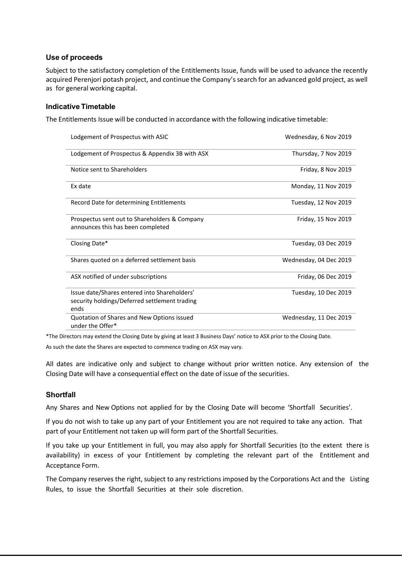### **Use of proceeds**

Subject to the satisfactory completion of the Entitlements Issue, funds will be used to advance the recently acquired Perenjori potash project, and continue the Company's search for an advanced gold project, as well as for general working capital.

### **Indicative Timetable**

The Entitlements Issue will be conducted in accordance with the following indicative timetable:

| Lodgement of Prospectus with ASIC                                                                     | Wednesday, 6 Nov 2019  |  |
|-------------------------------------------------------------------------------------------------------|------------------------|--|
| Lodgement of Prospectus & Appendix 3B with ASX                                                        | Thursday, 7 Nov 2019   |  |
| Notice sent to Shareholders                                                                           | Friday, 8 Nov 2019     |  |
| Ex date                                                                                               | Monday, 11 Nov 2019    |  |
| Record Date for determining Entitlements                                                              | Tuesday, 12 Nov 2019   |  |
| Prospectus sent out to Shareholders & Company<br>announces this has been completed                    | Friday, 15 Nov 2019    |  |
| Closing Date*                                                                                         | Tuesday, 03 Dec 2019   |  |
| Shares quoted on a deferred settlement basis                                                          | Wednesday, 04 Dec 2019 |  |
| ASX notified of under subscriptions                                                                   | Friday, 06 Dec 2019    |  |
| Issue date/Shares entered into Shareholders'<br>security holdings/Deferred settlement trading<br>ends | Tuesday, 10 Dec 2019   |  |
| Quotation of Shares and New Options issued<br>under the Offer*                                        | Wednesday, 11 Dec 2019 |  |

\*The Directors may extend the Closing Date by giving at least 3 Business Days' notice to ASX prior to the Closing Date.

As such the date the Shares are expected to commence trading on ASX may vary.

All dates are indicative only and subject to change without prior written notice. Any extension of the Closing Date will have a consequential effect on the date of issue of the securities.

#### **Shortfall**

Any Shares and New Options not applied for by the Closing Date will become 'Shortfall Securities'.

If you do not wish to take up any part of your Entitlement you are not required to take any action. That part of your Entitlement not taken up will form part of the Shortfall Securities.

If you take up your Entitlement in full, you may also apply for Shortfall Securities (to the extent there is availability) in excess of your Entitlement by completing the relevant part of the Entitlement and Acceptance Form.

The Company reserves the right, subject to any restrictions imposed by the Corporations Act and the Listing Rules, to issue the Shortfall Securities at their sole discretion.